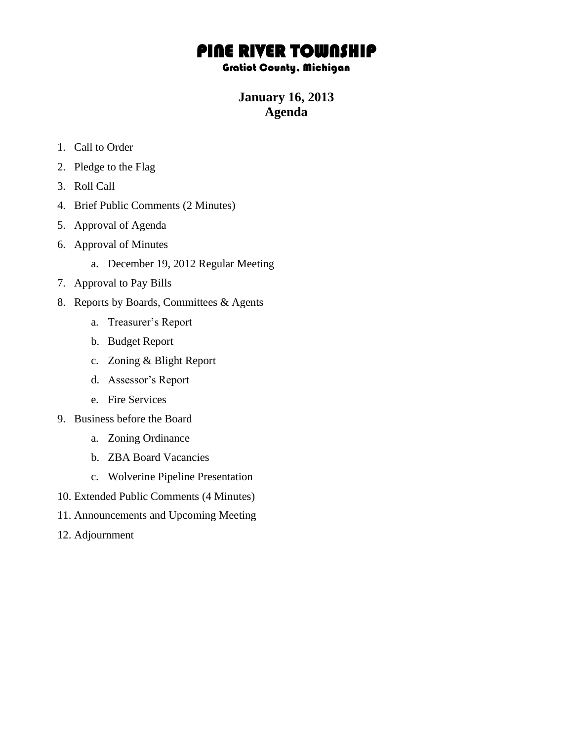# PINE RIVER TOWNSHIP

### Gratiot County, Michigan

## **January 16, 2013 Agenda**

- 1. Call to Order
- 2. Pledge to the Flag
- 3. Roll Call
- 4. Brief Public Comments (2 Minutes)
- 5. Approval of Agenda
- 6. Approval of Minutes
	- a. December 19, 2012 Regular Meeting
- 7. Approval to Pay Bills
- 8. Reports by Boards, Committees & Agents
	- a. Treasurer's Report
	- b. Budget Report
	- c. Zoning & Blight Report
	- d. Assessor's Report
	- e. Fire Services
- 9. Business before the Board
	- a. Zoning Ordinance
	- b. ZBA Board Vacancies
	- c. Wolverine Pipeline Presentation
- 10. Extended Public Comments (4 Minutes)
- 11. Announcements and Upcoming Meeting
- 12. Adjournment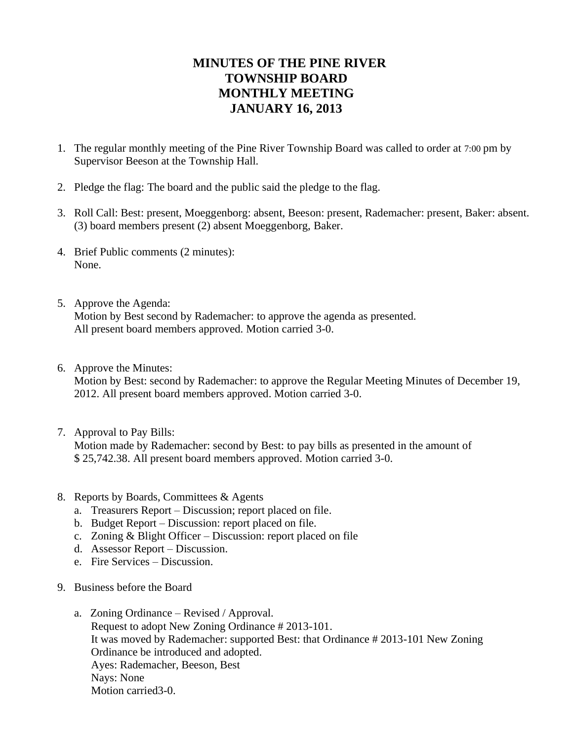## **MINUTES OF THE PINE RIVER TOWNSHIP BOARD MONTHLY MEETING JANUARY 16, 2013**

- 1. The regular monthly meeting of the Pine River Township Board was called to order at 7:00 pm by Supervisor Beeson at the Township Hall.
- 2. Pledge the flag: The board and the public said the pledge to the flag.
- 3. Roll Call: Best: present, Moeggenborg: absent, Beeson: present, Rademacher: present, Baker: absent. (3) board members present (2) absent Moeggenborg, Baker.
- 4. Brief Public comments (2 minutes): None.
- 5. Approve the Agenda: Motion by Best second by Rademacher: to approve the agenda as presented. All present board members approved. Motion carried 3-0.
- 6. Approve the Minutes:

Motion by Best: second by Rademacher: to approve the Regular Meeting Minutes of December 19, 2012. All present board members approved. Motion carried 3-0.

- 7. Approval to Pay Bills: Motion made by Rademacher: second by Best: to pay bills as presented in the amount of \$ 25,742.38. All present board members approved. Motion carried 3-0.
- 8. Reports by Boards, Committees & Agents
	- a. Treasurers Report Discussion; report placed on file.
	- b. Budget Report Discussion: report placed on file.
	- c. Zoning & Blight Officer Discussion: report placed on file
	- d. Assessor Report Discussion.
	- e. Fire Services Discussion.
- 9. Business before the Board
	- a. Zoning Ordinance Revised / Approval. Request to adopt New Zoning Ordinance # 2013-101. It was moved by Rademacher: supported Best: that Ordinance # 2013-101 New Zoning Ordinance be introduced and adopted. Ayes: Rademacher, Beeson, Best Nays: None Motion carried3-0.